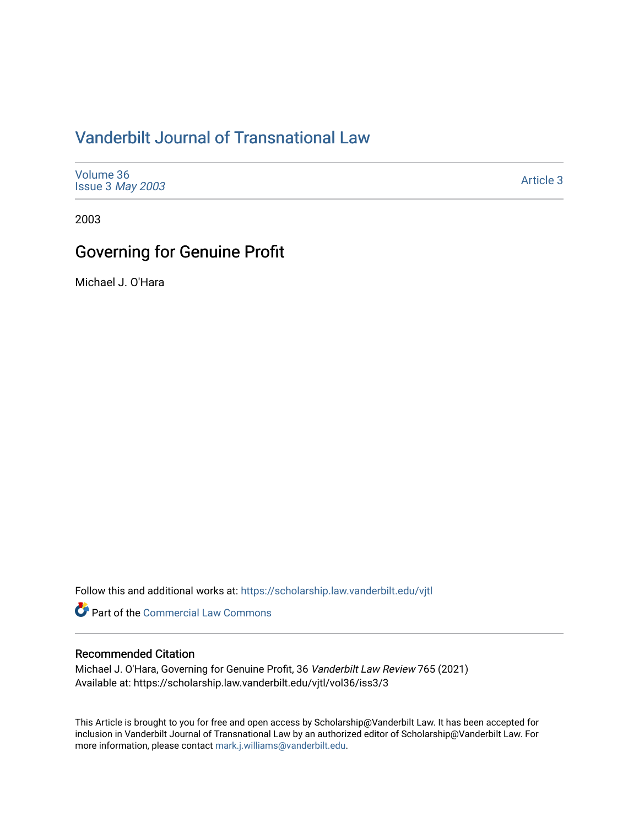# [Vanderbilt Journal of Transnational Law](https://scholarship.law.vanderbilt.edu/vjtl)

| Volume 36<br>Issue 3 May 2003 | Article 3 |
|-------------------------------|-----------|
|-------------------------------|-----------|

2003

# Governing for Genuine Profit

Michael J. O'Hara

Follow this and additional works at: [https://scholarship.law.vanderbilt.edu/vjtl](https://scholarship.law.vanderbilt.edu/vjtl?utm_source=scholarship.law.vanderbilt.edu%2Fvjtl%2Fvol36%2Fiss3%2F3&utm_medium=PDF&utm_campaign=PDFCoverPages) 

Part of the [Commercial Law Commons](http://network.bepress.com/hgg/discipline/586?utm_source=scholarship.law.vanderbilt.edu%2Fvjtl%2Fvol36%2Fiss3%2F3&utm_medium=PDF&utm_campaign=PDFCoverPages)

## Recommended Citation

Michael J. O'Hara, Governing for Genuine Profit, 36 Vanderbilt Law Review 765 (2021) Available at: https://scholarship.law.vanderbilt.edu/vjtl/vol36/iss3/3

This Article is brought to you for free and open access by Scholarship@Vanderbilt Law. It has been accepted for inclusion in Vanderbilt Journal of Transnational Law by an authorized editor of Scholarship@Vanderbilt Law. For more information, please contact [mark.j.williams@vanderbilt.edu](mailto:mark.j.williams@vanderbilt.edu).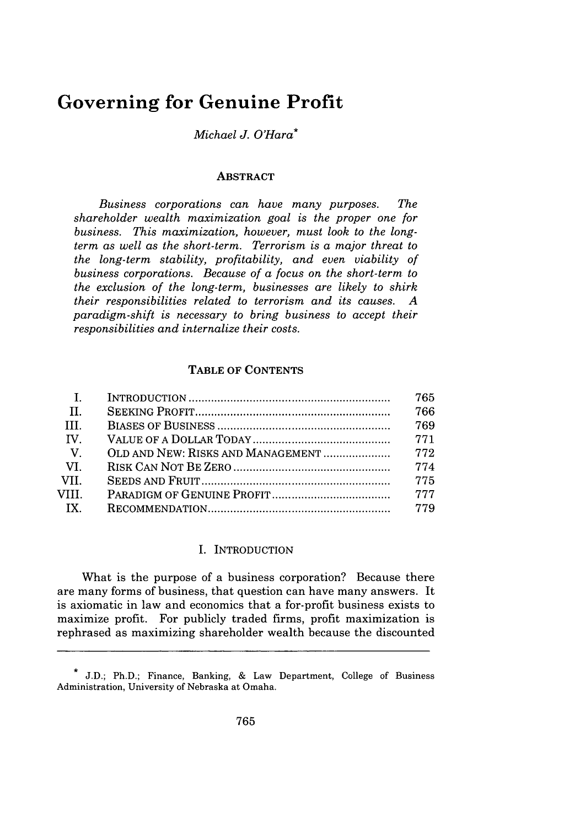## **Governing for Genuine Profit**

## *Michael J. O'Hara\**

#### **ABSTRACT**

*Business corporations can have many purposes. The shareholder wealth maximization goal is the proper one for business. This maximization, however, must look to the longterm as well as the short-term. Terrorism is a major threat to the long-term stability, profitability, and even viability of business corporations. Because of a focus on the short-term to the exclusion of the long-term, businesses are likely to shirk their responsibilities related to terrorism and its causes. A paradigm-shift is necessary to bring business to accept their responsibilities and internalize their costs.*

#### **TABLE OF CONTENTS**

| $\mathbf{I}$ .                | 765   |
|-------------------------------|-------|
| $\mathbf{H}$                  | 766   |
| $\blacksquare$ $\blacksquare$ | 769   |
| IV.                           | 771   |
| $-V_{\odot}$                  |       |
| $-VL$                         | 774   |
| VII.                          | 775   |
| VIII.                         | - 777 |
| $\overline{X}$                |       |
|                               |       |

#### I. INTRODUCTION

What is the purpose of a business corporation? Because there are many forms of business, that question can have many answers. It is axiomatic in law and economics that a for-profit business exists to maximize profit. For publicly traded firms, profit maximization is rephrased as maximizing shareholder wealth because the discounted

J.D.; Ph.D.; Finance, Banking, & Law Department, College of Business Administration, University of Nebraska at Omaha.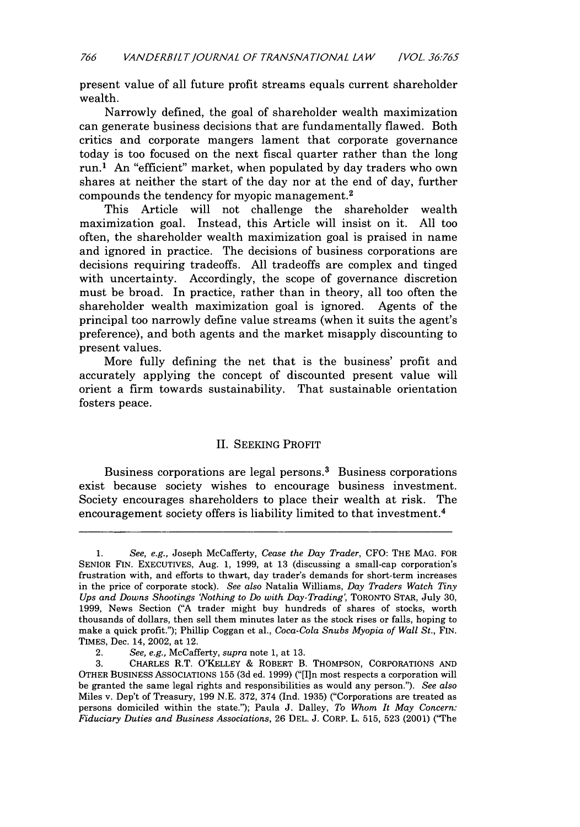present value of all future profit streams equals current shareholder wealth.

Narrowly defined, the goal of shareholder wealth maximization can generate business decisions that are fundamentally flawed. Both critics and corporate mangers lament that corporate governance today is too focused on the next fiscal quarter rather than the long run.1 An "efficient" market, when populated by day traders who own shares at neither the start of the day nor at the end of day, further compounds the tendency for myopic management. <sup>2</sup>

This Article will not challenge the shareholder wealth maximization goal. Instead, this Article will insist on it. All too often, the shareholder wealth maximization goal is praised in name and ignored in practice. The decisions of business corporations are decisions requiring tradeoffs. All tradeoffs are complex and tinged with uncertainty. Accordingly, the scope of governance discretion must be broad. In practice, rather than in theory, all too often the shareholder wealth maximization goal is ignored. Agents of the principal too narrowly define value streams (when it suits the agent's preference), and both agents and the market misapply discounting to present values.

More fully defining the net that is the business' profit and accurately applying the concept of discounted present value will orient a firm towards sustainability. That sustainable orientation fosters peace.

### II. SEEKING PROFIT

Business corporations are legal persons.<sup>3</sup> Business corporations exist because society wishes to encourage business investment. Society encourages shareholders to place their wealth at risk. The encouragement society offers is liability limited to that investment.<sup>4</sup>

<sup>1.</sup> See, e.g., Joseph McCafferty, *Cease the Day Trader,* CFO: THE MAG. FOR SENIOR FIN. EXECUTIVES, Aug. 1, 1999, at 13 (discussing a small-cap corporation's frustration with, and efforts to thwart, day trader's demands for short-term increases in the price of corporate stock). *See also* Natalia Williams, *Day Traders Watch Tiny Ups and Downs Shootings 'Nothing to Do with Day-Trading,* TORONTO STAR, July 30, 1999, News Section ("A trader might buy hundreds of shares of stocks, worth thousands of dollars, then sell them minutes later as the stock rises or falls, hoping to make a quick profit."); Phillip Coggan et al., *Coca-Cola Snubs Myopia of Wall St.,* FIN. TIMES, Dec. 14, 2002, at 12.

<sup>2.</sup> *See, e.g.,* McCafferty, *supra* note 1, at 13.

<sup>3.</sup> CHARLES R.T. O'KELLEY & ROBERT B. THOMPSON, CORPORATIONS AND OTHER BUSINESS ASSOCIATIONS 155 (3d ed. 1999) ("[I]n most respects a corporation will be granted the same legal rights and responsibilities as would any person."). *See also* Miles v. Dep't of Treasury, 199 N.E. 372, 374 (Ind. 1935) ("Corporations are treated as persons domiciled within the state."); Paula J. Dalley, *To Whom It May Concern: Fiduciary Duties and Business Associations,* 26 DEL. J. CORP. L. 515, 523 (2001) ('The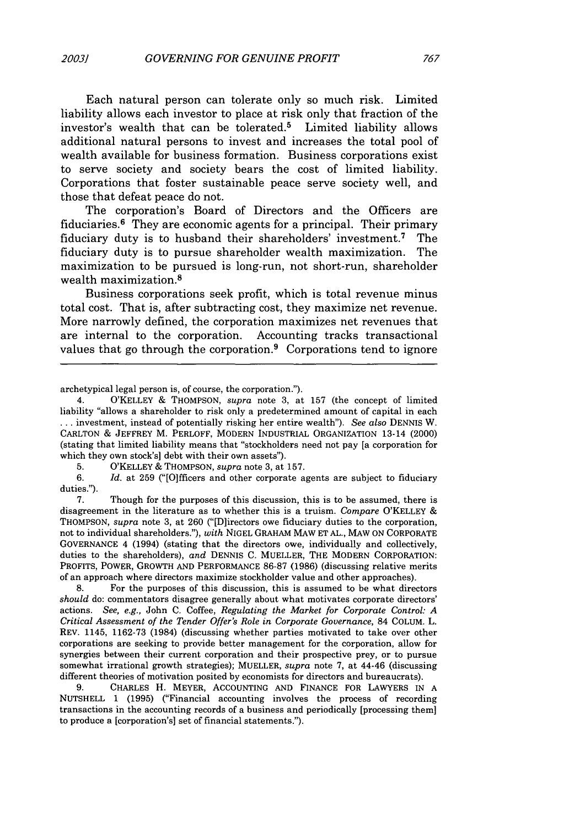Each natural person can tolerate only so much risk. Limited liability allows each investor to place at risk only that fraction of the investor's wealth that can be tolerated.<sup>5</sup> Limited liability allows additional natural persons to invest and increases the total pool of wealth available for business formation. Business corporations exist to serve society and society bears the cost of limited liability. Corporations that foster sustainable peace serve society well, and those that defeat peace do not.

The corporation's Board of Directors and the Officers are fiduciaries.6 They are economic agents for a principal. Their primary fiduciary duty is to husband their shareholders' investment.<sup>7</sup> The fiduciary duty is to pursue shareholder wealth maximization. The maximization to be pursued is long-run, not short-run, shareholder wealth maximization.8

Business corporations seek profit, which is total revenue minus total cost. That is, after subtracting cost, they maximize net revenue. More narrowly defined, the corporation maximizes net revenues that are internal to the corporation. Accounting tracks transactional values that go through the corporation.<sup>9</sup> Corporations tend to ignore

archetypical legal person is, of course, the corporation.").

5. O'KELLEY & THOMPSON, *supra* note 3, at 157.

*6. Id.* at 259 ("[O1fficers and other corporate agents are subject to fiduciary duties.").

7. Though for the purposes of this discussion, this is to be assumed, there is disagreement in the literature as to whether this is a truism. *Compare* O'KELLEY **&** THOMPSON, *supra* note 3, at 260 ("[Dlirectors owe fiduciary duties to the corporation, not to individual shareholders."), *with* NIGEL GRAHAM MAW ET AL., MAW ON CORPORATE GOVERNANCE 4 (1994) (stating that the directors owe, individually and collectively, duties to the shareholders), *and* DENNIS C. MUELLER, THE MODERN CORPORATION: PROFITS, POWER, GROWTH AND PERFORMANCE 86-87 (1986) (discussing relative merits of an approach where directors maximize stockholder value and other approaches).

8. For the purposes of this discussion, this is assumed to be what directors *should* do: commentators disagree generally about what motivates corporate directors' actions. *See, e.g.,* John C. Coffee, *Regulating the Market for Corporate Control: A Critical Assessment of the Tender* Offer's *Role in Corporate Governance,* 84 COLUM. L. REV. 1145, 1162-73 (1984) (discussing whether parties motivated to take over other corporations are seeking to provide better management for the corporation, allow for synergies between their current corporation and their prospective prey, or to pursue somewhat irrational growth strategies); MUELLER, *supra* note 7, at 44-46 (discussing different theories of motivation posited by economists for directors and bureaucrats).

9. CHARLES H. MEYER, ACCOUNTING AND FINANCE FOR LAWYERS IN A NUTSHELL 1 (1995) ("Financial accounting involves the process of recording transactions in the accounting records of a business and periodically [processing them] to produce a [corporation's] set of financial statements.").

<sup>4.</sup> O'KELLEY & THOMPSON, *supra* note 3, at 157 (the concept of limited liability "allows a shareholder to risk only a predetermined amount of capital in each **...** investment, instead of potentially risking her entire wealth"). *See also* DENNIS W. CARLTON & JEFFREY M. PERLOFF, MODERN INDUSTRIAL ORGANIZATION 13-14 (2000) (stating that limited liability means that "stockholders need not pay [a corporation for which they own stock's] debt with their own assets").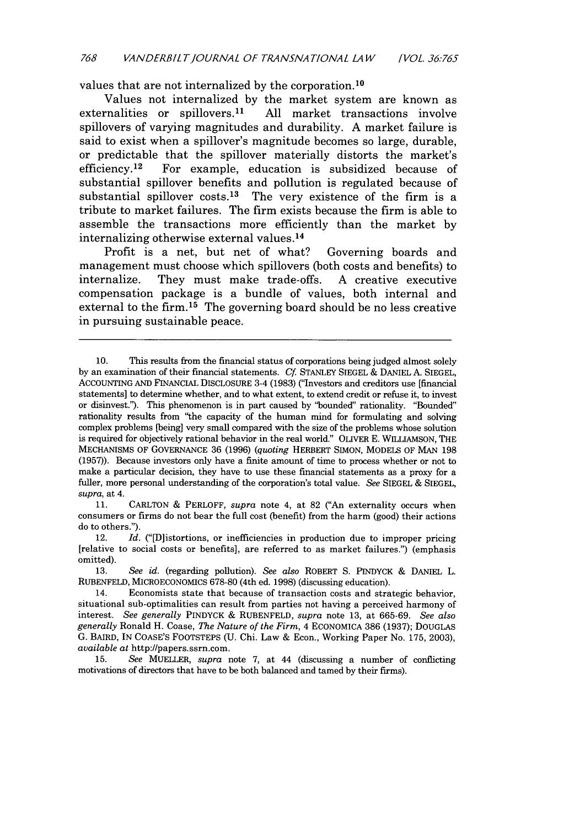values that are not internalized by the corporation.<sup>10</sup>

Values not internalized by the market system are known as externalities or spillovers.<sup>11</sup> All market transactions involve All market transactions involve spillovers of varying magnitudes and durability. A market failure is said to exist when a spillover's magnitude becomes so large, durable, or predictable that the spillover materially distorts the market's efficiency.<sup>12</sup> For example, education is subsidized because of For example, education is subsidized because of substantial spillover benefits and pollution is regulated because of substantial spillover  $costs<sup>13</sup>$  The very existence of the firm is a tribute to market failures. The firm exists because the firm is able to assemble the transactions more efficiently than the market by internalizing otherwise external values. <sup>14</sup>

Profit is a net, but net of what? Governing boards and management must choose which spillovers (both costs and benefits) to internalize. They must make trade-offs. A creative executive compensation package is a bundle of values, both internal and external to the firm.15 The governing board should be no less creative in pursuing sustainable peace.

11. CARLTON & PERLOFF, *supra* note 4, at 82 ("An externality occurs when consumers or firms do not bear the full cost (benefit) from the harm (good) their actions do to others.").

12. *Id.* ("D]istortions, or inefficiencies in production due to improper pricing [relative to social costs or benefits], are referred to as market failures.") (emphasis omitted).

13. *See id.* (regarding pollution). *See also* ROBERT S. PINDYCK & DANIEL L. RuBENFELD, MICROECONOMICS 678-80 (4th ed. 1998) (discussing education).

<sup>10.</sup> This results from the financial status of corporations being judged almost solely by an examination of their financial statements. *Cf.* STANLEY SIEGEL & DANIEL A. SIEGEL, **ACCOUNTING AND** FINANCIAL DISCLOSURE 3-4 (1983) ("Investors and creditors use [financial statements] to determine whether, and to what extent, to extend credit or refuse it, to invest or disinvest.'). This phenomenon is in part caused by "bounded" rationality. "Bounded" rationality results from "the capacity of the human mind for formulating and solving complex problems [being] very small compared with the size of the problems whose solution is required for objectively rational behavior in the real world." OLIVER E. WILLIAMSON, THE MECHANISMS OF GOVERNANCE 36 (1996) (quoting HERBERT SIMON, MODELS OF MAN 198 (1957)). Because investors only have a finite amount of time to process whether or not to make a particular decision, they have to use these financial statements as a proxy for a fuller, more personal understanding of the corporation's total value. *See* SIEGEL & SIEGEL, *supra,* at 4.

<sup>14.</sup> Economists state that because of transaction costs and strategic behavior, situational sub-optimalities can result from parties not having a perceived harmony of interest. *See generally* PINDYCK & RUBENFELD, *supra* note 13, at 665-69. *See also generally* Ronald H. Coase, *The Nature of the Firm,* 4 EcONOMICA 386 (1937); DOUGLAS G. BAIRD, IN COASE'S FOOTSTEPS (U. Chi. Law & Econ., Working Paper No. 175, 2003), *available* at http://papers.ssrn.com.

<sup>15.</sup> *See* MUELLER, *supra* note 7, at 44 (discussing a number of conflicting motivations of directors that have to be both balanced and tamed by their firms).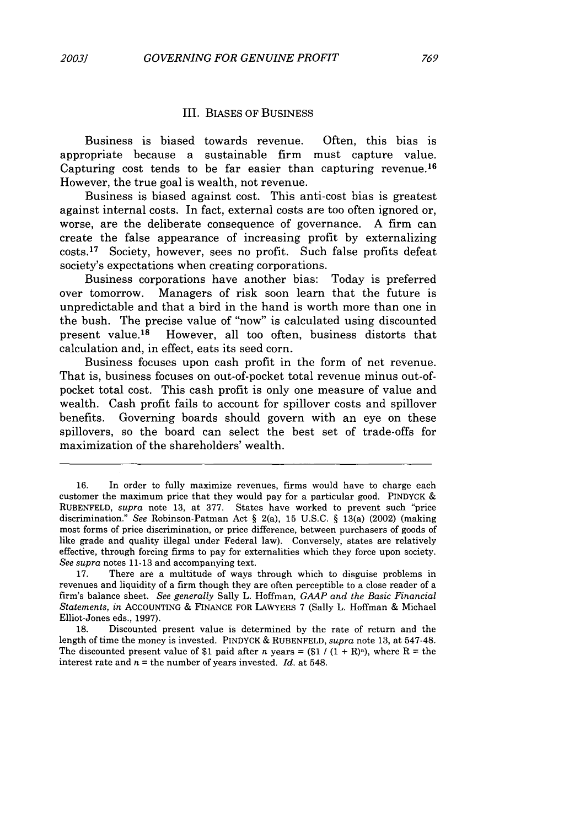#### **III. BIASES** OF BUSINESS

Business is biased towards revenue. Often, this bias is appropriate because a sustainable firm must capture value. Capturing cost tends to be far easier than capturing revenue.<sup>16</sup> However, the true goal is wealth, not revenue.

Business is biased against cost. This anti-cost bias is greatest against internal costs. In fact, external costs are too often ignored or, worse, are the deliberate consequence of governance. **A** firm can create the false appearance of increasing profit **by** externalizing costs. 17 Society, however, sees no profit. Such false profits defeat society's expectations when creating corporations.

Business corporations have another bias: Today is preferred over tomorrow. Managers of risk soon learn that the future is unpredictable and that a bird in the hand is worth more than one in the bush. The precise value of "now" is calculated using discounted present value.<sup>18</sup> However, all too often, business distorts that calculation and, in effect, eats its seed corn.

Business focuses upon cash profit in the form of net revenue. That is, business focuses on out-of-pocket total revenue minus out-ofpocket total cost. This cash profit is only one measure of value and wealth. Cash profit fails to account for spillover costs and spillover benefits. Governing boards should govern with an eye on these spillovers, so the board can select the best set of trade-offs for maximization of the shareholders' wealth.

**<sup>16.</sup>** In order to fully maximize revenues, firms would have to charge each customer the maximum price that they would pay for a particular good. PINDYCK **& RUBENFELD,** *supra* note **13,** at **377.** States have worked to prevent such "price discrimination." *See* Robinson-Patman Act **§** 2(a), **15 U.S.C. §** 13(a) (2002) (making most forms of price discrimination, or price difference, between purchasers of goods of like grade and quality illegal under Federal law). Conversely, states are relatively effective, through forcing firms to pay for externalities which they force upon society. *See supra* **notes 11-13** and accompanying text.

**<sup>17.</sup>** There are a multitude of ways through which to disguise problems in revenues and liquidity of a firm though they are often perceptible to a close reader of a firm's balance sheet. *See generally* Sally L. Hoffman, *GAAP and the Basic Financial Statements, in* **ACCOUNTING &** FINANCE FOR LAWYERS **7** (Sally L. Hoffman **&** Michael Elliot-Jones eds., **1997).**

**<sup>18.</sup>** Discounted present value is determined **by** the rate of return and the length of time the money is invested. PINDYCK **& RUBENFELD,** *supra* note **13,** at 547-48. The discounted present value of \$1 paid after *n* years =  $(\$1 / (1 + R)<sup>n</sup>)$ , where R = the interest rate and  $n =$  the number of years invested. *Id.* at 548.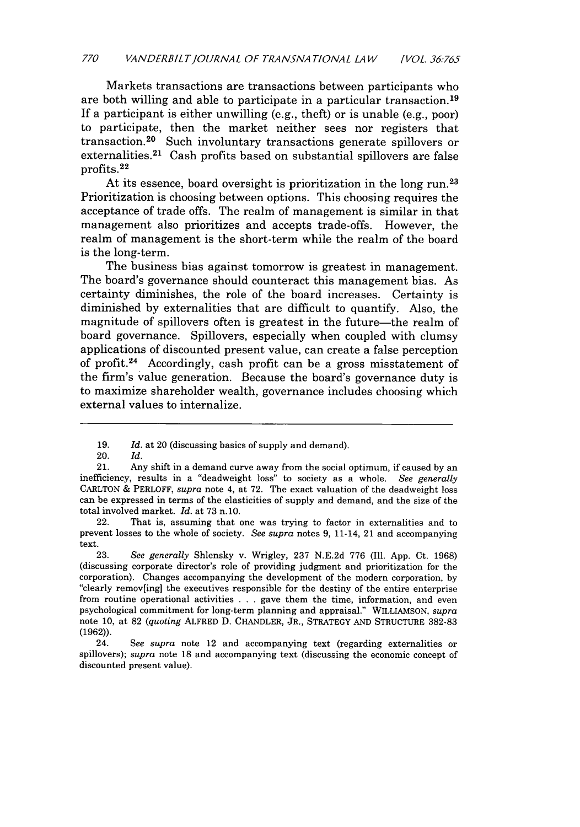Markets transactions are transactions between participants who are both willing and able to participate in a particular transaction. <sup>19</sup> **If** a participant is either unwilling (e.g., theft) or is unable (e.g., poor) to participate, then the market neither sees nor registers that transaction. 20 Such involuntary transactions generate spillovers or externalities.<sup>21</sup> Cash profits based on substantial spillovers are false profits. <sup>22</sup>

At its essence, board oversight is prioritization in the long run.<sup>23</sup> Prioritization is choosing between options. This choosing requires the acceptance of trade offs. The realm of management is similar in that management also prioritizes and accepts trade-offs. However, the realm of management is the short-term while the realm of the board is the long-term.

The business bias against tomorrow is greatest in management. The board's governance should counteract this management bias. As certainty diminishes, the role of the board increases. Certainty is diminished **by** externalities that are difficult to quantify. Also, the magnitude of spillovers often is greatest in the future-the realm of board governance. Spillovers, especially when coupled with clumsy applications of discounted present value, can create a false perception of profit.24 Accordingly, cash profit can be a gross misstatement of the firm's value generation. Because the board's governance duty is to maximize shareholder wealth, governance includes choosing which external values to internalize.

**23.** *See generally* Shlensky v. Wrigley, **237 N.E.2d 776** (Ill. **App.** Ct. **1968)** (discussing corporate director's role of providing judgment and prioritization for the corporation). Changes accompanying the development of the modern corporation, **by** "clearly remov[ing] the executives responsible for the destiny of the entire enterprise from routine operational activities **. . .** gave them the time, information, and even psychological commitment for long-term planning and appraisal." WILLIAMSON, *supra* note **10,** at **82** *(quoting* ALFRED **D. CHANDLER,** JR., STRATEGY **AND STRUCTURE 382-83 (1962)).**

24. *See supra* note 12 and accompanying text (regarding externalities or spillovers); *supra* note **18** and accompanying text (discussing the economic concept of discounted present value).

**<sup>19.</sup>** *Id.* at 20 (discussing basics of supply and demand).

<sup>20.</sup> *Id.*

<sup>21.</sup> Any shift in a demand curve away from the social optimum, if caused **by** an inefficiency, results in a "deadweight loss" to society as a whole. *See generally* CARLTON *&* PERLOFF, *supra* note 4, at **72.** The exact valuation of the deadweight loss can be expressed in terms of the elasticities of supply and demand, and the size of the total involved market. *Id.* at **73 n.10.**

<sup>22.</sup> That is, assuming that one was trying to factor in externalities and to prevent losses to the whole of society. *See supra* notes **9,** 11-14, 21 and accompanying text.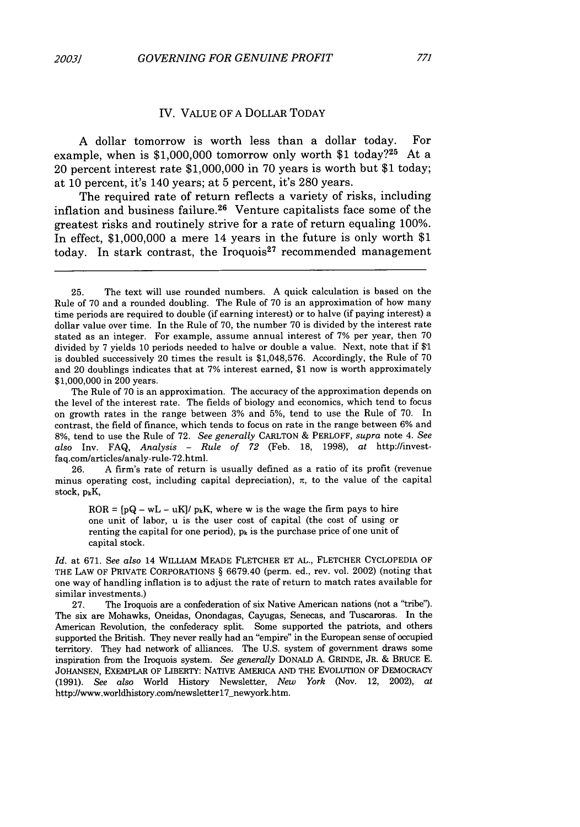#### IV. VALUE OF A DOLLAR TODAY

A dollar tomorrow is worth less than a dollar today. For example, when is \$1,000,000 tomorrow only worth \$1 today?<sup>25</sup> At a 20 percent interest rate \$1,000,000 in 70 years is worth but \$1 today; at 10 percent, it's 140 years; at 5 percent, it's 280 years.

The required rate of return reflects a variety of risks, including inflation and business failure. 26 Venture capitalists face some of the greatest risks and routinely strive for a rate of return equaling 100%. In effect, \$1,000,000 a mere 14 years in the future is only worth \$1 today. In stark contrast, the Iroquois<sup>27</sup> recommended management

The Rule of 70 is an approximation. The accuracy of the approximation depends on the level of the interest rate. The fields of biology and economics, which tend to focus on growth rates in the range between 3% and 5%, tend to use the Rule of 70. In contrast, the field of finance, which tends to focus on rate in the range between 6% and 8%, tend to use the Rule of 72. *See generally* CARLTON & PERLOFF, *supra* note 4. *See also* Inv. FAQ, *Analysis* - *Rule of 72* (Feb. 18, 1998), *at* http://investfaq.com/articles/analy-rule-72.html.

26. A firm's rate of return is usually defined as a ratio of its profit (revenue minus operating cost, including capital depreciation),  $\pi$ , to the value of the capital stock,  $p_kK$ ,

 $ROR = [pQ - wL - uK]/p_kK$ , where w is the wage the firm pays to hire one unit of labor, u is the user cost of capital (the cost of using or renting the capital for one period),  $p_k$  is the purchase price of one unit of capital stock.

*Id.* at 671. *See also* 14 WILLIAM MEADE FLETCHER ET AL., FLETCHER CYCLOPEDIA OF THE LAW OF PRIVATE CORPORATIONS § 6679.40 (perm. ed., rev. vol. 2002) (noting that one way of handling inflation is to adjust the rate of return to match rates available for similar investments.)

27. The Iroquois are a confederation of six Native American nations (not a "tribe'). The six are Mohawks, Oneidas, Onondagas, Cayugas, Senecas, and Tuscaroras. In the American Revolution, the confederacy split. Some supported the patriots, and others supported the British. They never really had an "empire" in the European sense of occupied territory. They had network of alliances. The U.S. system of government draws some inspiration from the Iroquois system. *See generally* DONALD A. GRINDE, JR. & BRUCE E. JOHANSEN, ExEMPLAR OF LIBERTY: NATIVE AMERICA AND THE EVOLUTION OF DEMOCRACY (1991). *See also* World History Newsletter, *New York* (Nov. 12, 2002), *at* http://www.worldhistory.com/newsletter17\_newyork.htm.

<sup>25.</sup> The text will use rounded numbers. A quick calculation is based on the Rule of 70 and a rounded doubling. The Rule of 70 is an approximation of how many time periods are required to double (if earning interest) or to halve (if paying interest) a dollar value over time. In the Rule of 70, the number 70 is divided by the interest rate stated as an integer. For example, assume annual interest of 7% per year, then 70 divided by 7 yields 10 periods needed to halve or double a value. Next, note that if **\$-1** is doubled successively 20 times the result is \$1,048,576. Accordingly, the Rule of 70 and 20 doublings indicates that at 7% interest earned, \$1 now is worth approximately \$1,000,000 in 200 years.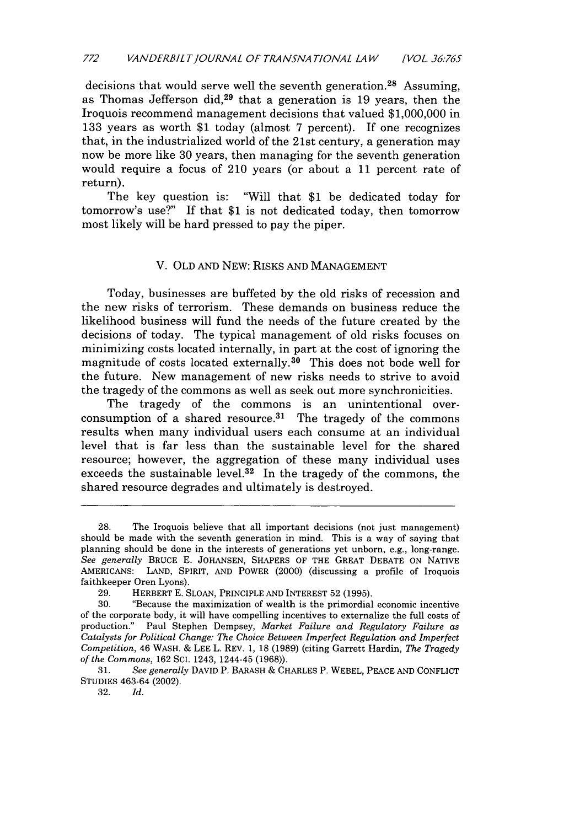decisions that would serve well the seventh generation.<sup>28</sup> Assuming, as Thomas Jefferson did,<sup>29</sup> that a generation is 19 years, then the Iroquois recommend management decisions that valued \$1,000,000 in 133 years as worth \$1 today (almost 7 percent). If one recognizes that, in the industrialized world of the 21st century, a generation may now be more like 30 years, then managing for the seventh generation would require a focus of 210 years (or about a 11 percent rate of return).

The key question is: "Will that \$1 be dedicated today for tomorrow's use?" If that \$1 is not dedicated today, then tomorrow most likely will be hard pressed to pay the piper.

### V. OLD AND NEW: RISKS AND MANAGEMENT

Today, businesses are buffeted by the old risks of recession and the new risks of terrorism. These demands on business reduce the likelihood business will fund the needs of the future created by the decisions of today. The typical management of old risks focuses on minimizing costs located internally, in part at the cost of ignoring the magnitude of costs located externally. 30 This does not bode well for the future. New management of new risks needs to strive to avoid the tragedy of the commons as well as seek out more synchronicities.

The tragedy of the commons is an unintentional overconsumption of a shared resource.<sup>31</sup> The tragedy of the commons results when many individual users each consume at an individual level that is far less than the sustainable level for the shared resource; however, the aggregation of these many individual uses exceeds the sustainable level.<sup>32</sup> In the tragedy of the commons, the shared resource degrades and ultimately is destroyed.

32. *Id.*

<sup>28.</sup> The Iroquois believe that all important decisions (not just management) should be made with the seventh generation in mind. This is a way of saying that planning should be done in the interests of generations yet unborn, e.g., long-range. See generally BRUCE E. JOHANSEN, SHAPERS OF THE GREAT DEBATE ON NATIVE AMERICANS: LAND, SPIRIT, AND POWER (2000) (discussing a profile of Iroquois faithkeeper Oren Lyons).

<sup>29.</sup> HERBERT E. SLOAN, PRINCIPLE AND INTEREST 52 (1995).

<sup>30. &</sup>quot;Because the maximization of wealth is the primordial economic incentive of the corporate body, it will have compelling incentives to externalize the full costs of production." Paul Stephen Dempsey, *Market Failure and Regulatory Failure as Catalysts for Political Change: The Choice Between Imperfect Regulation and Imperfect Competition,* 46 WASH. & LEE L. REV. 1, 18 (1989) (citing Garrett Hardin, *The Tragedy of the Commons,* 162 **SCI.** 1243, 1244-45 (1968)).

<sup>31.</sup> *See generally* DAVID P. BARASH & CHARLES P. WEBEL, PEACE AND CONFLICT STUDIES 463-64 (2002).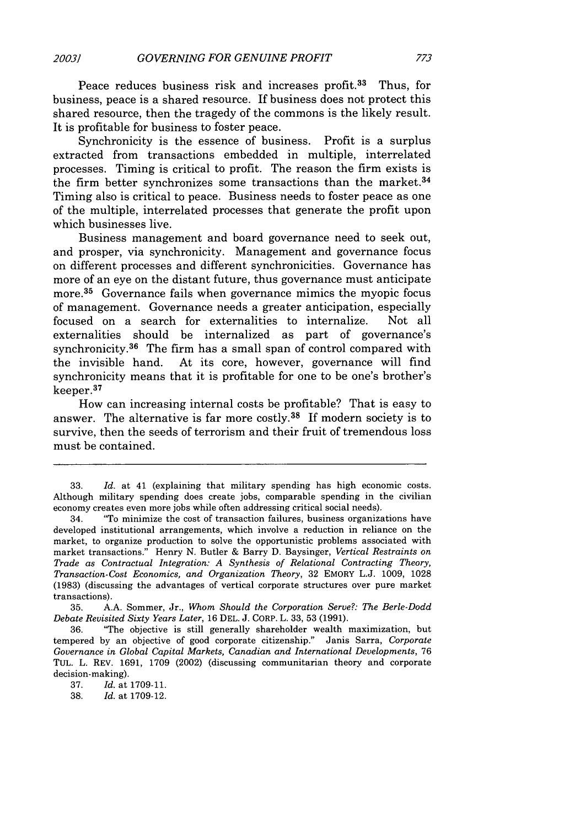Peace reduces business risk and increases profit.<sup>33</sup> Thus, for business, peace is a shared resource. If business does not protect this shared resource, then the tragedy of the commons is the likely result. It is profitable for business to foster peace.

Synchronicity is the essence of business. Profit is a surplus extracted from transactions embedded in multiple, interrelated processes. Timing is critical to profit. The reason the firm exists is the firm better synchronizes some transactions than the market.<sup>34</sup> Timing also is critical to peace. Business needs to foster peace as one of the multiple, interrelated processes that generate the profit upon which businesses live.

Business management and board governance need to seek out, and prosper, via synchronicity. Management and governance focus on different processes and different synchronicities. Governance has more of an eye on the distant future, thus governance must anticipate more.<sup>35</sup> Governance fails when governance mimics the myopic focus of management. Governance needs a greater anticipation, especially focused on a search for externalities to internalize. Not all externalities should be internalized as part of governance's synchronicity.<sup>36</sup> The firm has a small span of control compared with the invisible hand. At its core, however, governance will find synchronicity means that it is profitable for one to be one's brother's keeper. <sup>37</sup>

How can increasing internal costs be profitable? That is easy to answer. The alternative is far more costly. 38 If modern society is to survive, then the seeds of terrorism and their fruit of tremendous loss must be contained.

35. A.A. Sommer, Jr., *Whom Should the Corporation Serve?: The Berle-Dodd Debate Revisited Sixty Years Later,* 16 DEL. J. CORP. L. 33, 53 (1991).

36. "The objective is still generally shareholder wealth maximization, but tempered by an objective of good corporate citizenship." Janis Sarra, *Corporate Governance in Global Capital Markets, Canadian and International Developments,* <sup>76</sup> TUL. L. REV. 1691, 1709 (2002) (discussing communitarian theory and corporate decision-making).

38. *Id.* at 1709-12.

<sup>33.</sup> *Id.* at 41 (explaining that military spending has high economic costs. Although military spending does create jobs, comparable spending in the civilian economy creates even more jobs while often addressing critical social needs).

<sup>34. &</sup>quot;To minimize the cost of transaction failures, business organizations have developed institutional arrangements, which involve a reduction in reliance on the market, to organize production to solve the opportunistic problems associated with market transactions." Henry N. Butler & Barry D. Baysinger, *Vertical Restraints on Trade as Contractual Integration: A Synthesis of Relational Contracting Theory, Transaction-Cost Economics, and Organization Theory,* 32 EMORY L.J. 1009, 1028 (1983) (discussing the advantages of vertical corporate structures over pure market transactions).

<sup>37.</sup> *Id.* at 1709-11.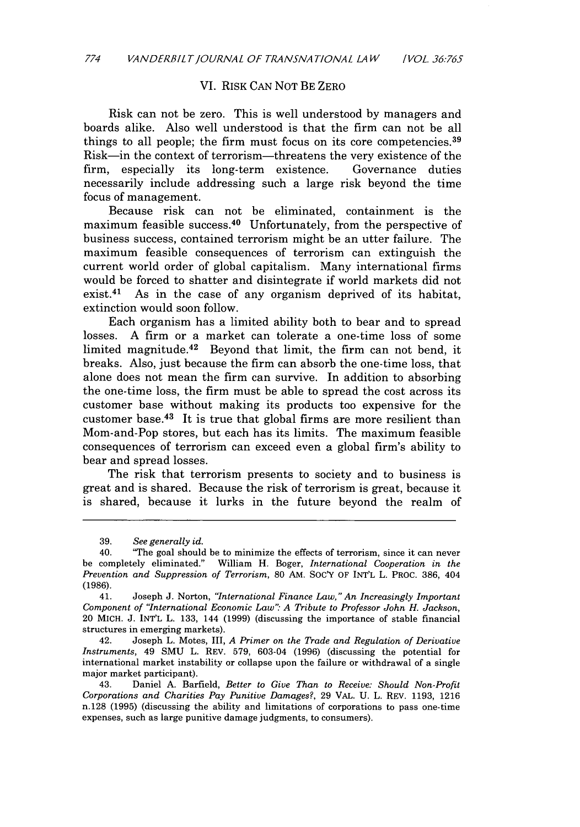#### VI. RISK CAN NOT BE ZERO

Risk can not be zero. This is well understood by managers and boards alike. Also well understood is that the firm can not be all things to all people; the firm must focus on its core competencies. <sup>39</sup> Risk-in the context of terrorism-threatens the very existence of the firm, especially its long-term existence. Governance duties necessarily include addressing such a large risk beyond the time focus of management.

Because risk can not be eliminated, containment is the maximum feasible success.<sup>40</sup> Unfortunately, from the perspective of business success, contained terrorism might be an utter failure. The maximum feasible consequences of terrorism can extinguish the current world order of global capitalism. Many international firms would be forced to shatter and disintegrate if world markets did not exist.<sup>41</sup> As in the case of any organism deprived of its habitat, extinction would soon follow.

Each organism has a limited ability both to bear and to spread losses. A firm or a market can tolerate a one-time loss of some limited magnitude.<sup>42</sup> Beyond that limit, the firm can not bend, it breaks. Also, just because the firm can absorb the one-time loss, that alone does not mean the firm can survive. In addition to absorbing the one-time loss, the firm must be able to spread the cost across its customer base without making its products too expensive for the customer base. $4^3$  It is true that global firms are more resilient than Mom-and-Pop stores, but each has its limits. The maximum feasible consequences of terrorism can exceed even a global firm's ability to bear and spread losses.

The risk that terrorism presents to society and to business is great and is shared. Because the risk of terrorism is great, because it is shared, because it lurks in the future beyond the realm of

42. Joseph L. Motes, III, *A Primer on the Trade and Regulation of Derivative Instruments,* 49 SMU L. REV. 579, 603-04 (1996) (discussing the potential for international market instability or collapse upon the failure or withdrawal of a single major market participant).

<sup>39.</sup> *See generally id.*

<sup>40. &#</sup>x27;The goal should be to minimize the effects of terrorism, since it can never be completely eliminated." William H. Boger, *International Cooperation in the Prevention and Suppression of Terrorism,* 80 AM. *SOC'Y* OF INT'L L. PROC. 386, 404 (1986).

<sup>41.</sup> Joseph J. Norton, *"International Finance Law," An Increasingly Important Component of "International Economic Law": A Tribute to Professor John H. Jackson,* 20 MICH. J. INT'L L. 133, 144 (1999) (discussing the importance of stable financial structures in emerging markets).

<sup>43.</sup> Daniel A. Barfield, *Better to Give Than to Receive: Should Non-Profit Corporations and Charities Pay Punitive Damages?,* 29 VAL. U. L. REV. 1193, 1216 n.128 (1995) (discussing the ability and limitations of corporations to pass one-time expenses, such as large punitive damage judgments, to consumers).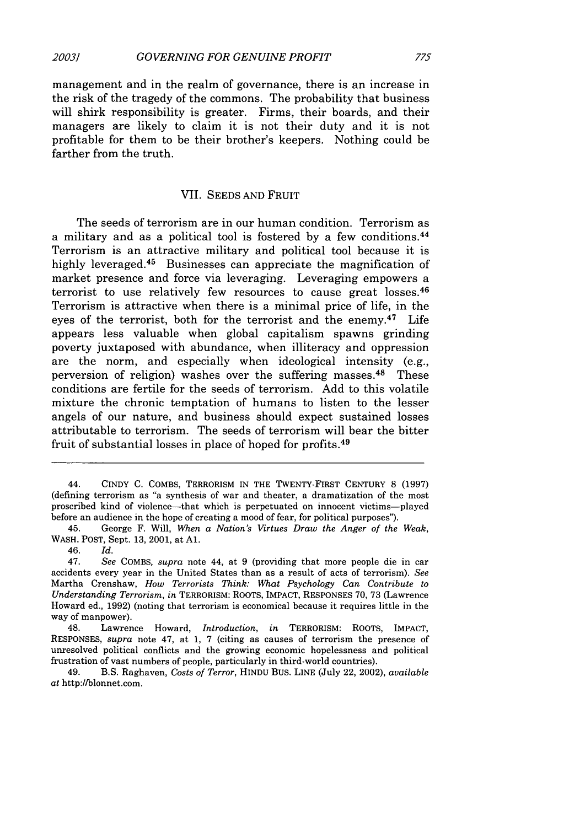management and in the realm of governance, there is an increase in the risk of the tragedy of the commons. The probability that business will shirk responsibility is greater. Firms, their boards, and their managers are likely to claim it is not their duty and it is not profitable for them to be their brother's keepers. Nothing could be farther from the truth.

#### VII. SEEDS AND FRUIT

The seeds of terrorism are in our human condition. Terrorism as a military and as a political tool is fostered by a few conditions. <sup>44</sup> Terrorism is an attractive military and political tool because it is highly leveraged.<sup>45</sup> Businesses can appreciate the magnification of market presence and force via leveraging. Leveraging empowers a terrorist to use relatively few resources to cause great losses.<sup>46</sup> Terrorism is attractive when there is a minimal price of life, in the eyes of the terrorist, both for the terrorist and the enemy.<sup>47</sup> Life appears less valuable when global capitalism spawns grinding poverty juxtaposed with abundance, when illiteracy and oppression are the norm, and especially when ideological intensity (e.g., perversion of religion) washes over the suffering masses. 48 These conditions are fertile for the seeds of terrorism. Add to this volatile mixture the chronic temptation of humans to listen to the lesser angels of our nature, and business should expect sustained losses attributable to terrorism. The seeds of terrorism will bear the bitter fruit of substantial losses in place of hoped for profits.49

48. Lawrence Howard, *Introduction, in* TERRORISM: ROOTS, IMPACT, RESPONSES, *supra* note 47, at 1, 7 (citing as causes of terrorism the presence of unresolved political conflicts and the growing economic hopelessness and political frustration of vast numbers of people, particularly in third-world countries).

49. B.S. Raghaven, *Costs of Terror,* HINDU BUS. LINE (July 22, 2002), *available at* http://blonnet.com.

<sup>44.</sup> CINDY C. COMBS, TERRORISM IN THE TWENTY-FIRST CENTURY 8 (1997) (defining terrorism as "a synthesis of war and theater, a dramatization of the most proscribed kind of violence-that which is perpetuated on innocent victims-played before an audience in the hope of creating a mood of fear, for political purposes").

<sup>45.</sup> George F. Will, *When a Nation's Virtues Draw the Anger of the Weak,* WASH. POST, Sept. 13, 2001, at **Al.**

<sup>46.</sup> *Id.*

<sup>47.</sup> *See* COMBS, *supra* note 44, at 9 (providing that more people die in car accidents every year in the United States than as a result of acts of terrorism). *See* Martha Crenshaw, *How Terrorists Think: What Psychology Can Contribute to Understanding Terrorism, in* TERRORISM: ROOTS, IMPACT, RESPONSES 70, 73 (Lawrence Howard ed., 1992) (noting that terrorism is economical because it requires little in the way of manpower).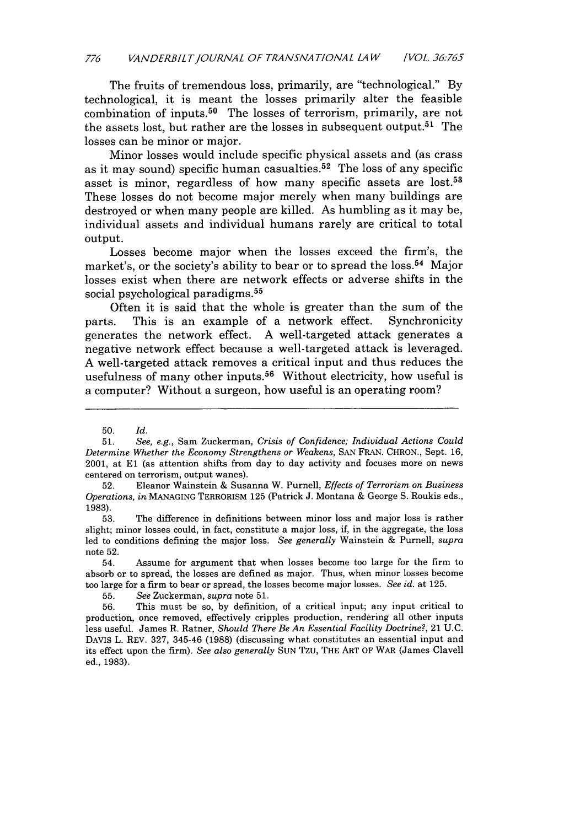The fruits of tremendous loss, primarily, are "technological." **By** technological, it is meant the losses primarily alter the feasible combination of inputs.50 The losses of terrorism, primarily, are not the assets lost, but rather are the losses in subsequent output.51 The losses can be minor or major.

Minor losses would include specific physical assets and (as crass as it may sound) specific human casualties. 52 The loss of any specific asset is minor, regardless of how many specific assets are **lost.<sup>53</sup>** These losses do not become major merely when many buildings are destroyed or when many people are killed. As humbling as it may be, individual assets and individual humans rarely are critical to total output.

Losses become major when the losses exceed the firm's, the market's, or the society's ability to bear or to spread the loss.<sup>54</sup> Major losses exist when there are network effects or adverse shifts in the social psychological paradigms. <sup>55</sup>

Often it is said that the whole is greater than the sum of the parts. This is an example of a network effect. Synchronicity generates the network effect. **A** well-targeted attack generates a negative network effect because a well-targeted attack is leveraged. **A** well-targeted attack removes a critical input and thus reduces the usefulness of many other inputs.<sup>56</sup> Without electricity, how useful is a computer? Without a surgeon, how useful is an operating room?

**<sup>50.</sup>** *Id.*

**<sup>51.</sup>** *See, e.g.,* Sam Zuckerman, *Crisis of Confidence; Individual Actions Could Determine Whether the Economy Strengthens or Weakens,* **SAN** FRAN. CHRON., Sept. **16,** 2001, at **El** (as attention shifts from day to day activity and focuses more on news centered on terrorism, output wanes).

**<sup>52.</sup>** Eleanor Wainstein **&** Susanna W. Purnell, *Effects of Terrorism on Business Operations, in* **MANAGING** TERRORISM **125** (Patrick **J.** Montana **&** George **S.** Roukis eds., **1983).**

**<sup>53.</sup>** The difference in definitions between minor loss and major loss is rather slight; minor losses could, in fact, constitute a major loss, if, in the aggregate, the loss led to conditions defining the major loss. *See generally* Wainstein **&** Purnell, *supra* note **52.**

<sup>54.</sup> Assume for argument that when losses become too large for the firm to absorb or to spread, the losses are defined as major. Thus, when minor losses become too large for a firm to bear or spread, the losses become major losses. *See id.* at **125.**

**<sup>55.</sup>** *See* Zuckerman, *supra* note **51.**

**<sup>56.</sup>** This must be so, **by** definition, of a critical input; any input critical to production, once removed, effectively cripples production, rendering all other inputs less useful. James R. Ratner, *Should There Be An Essential Facility Doctrine?,* 21 **U.C.** DAVIS L. REV. **327,** 345-46 **(1988)** (discussing what constitutes an essential input and its effect upon the firm). *See also generally* **SUN** Tzu, THE ART OF WAR (James Clavell ed., **1983).**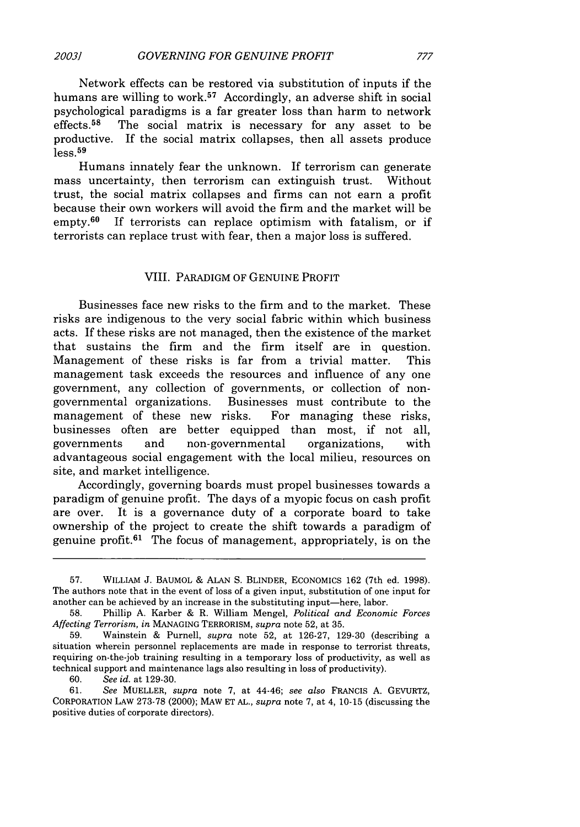Network effects can be restored via substitution of inputs if the humans are willing to work.<sup>57</sup> Accordingly, an adverse shift in social psychological paradigms is a far greater loss than harm to network<br>effects.<sup>58</sup> The social matrix is necessary for any asset to be The social matrix is necessary for any asset to be productive. If the social matrix collapses, then all assets produce  $\log 59$ 

Humans innately fear the unknown. If terrorism can generate mass uncertainty, then terrorism can extinguish trust. Without trust, the social matrix collapses and firms can not earn a profit because their own workers will avoid the firm and the market will be empty.60 If terrorists can replace optimism with fatalism, or if terrorists can replace trust with fear, then a major loss is suffered.

#### VIII. PARADIGM OF GENUINE PROFIT

Businesses face new risks to the firm and to the market. These risks are indigenous to the very social fabric within which business acts. If these risks are not managed, then the existence of the market that sustains the firm and the firm itself are in question. Management of these risks is far from a trivial matter. This management task exceeds the resources and influence of any one government, any collection of governments, or collection of nongovernmental organizations. Businesses must contribute to the management of these new risks. For managing these risks, businesses often are better equipped than most, if not all, governments and non-governmental organizations, with advantageous social engagement with the local milieu, resources on site, and market intelligence.

Accordingly, governing boards must propel businesses towards a paradigm of genuine profit. The days of a myopic focus on cash profit are over. It is a governance duty of a corporate board to take ownership of the project to create the shift towards a paradigm of genuine profit. $61$  The focus of management, appropriately, is on the

60. *See id.* at 129-30.

61. *See* MUELLER, *supra* note 7, at 44-46; *see also* FRANCIS A. GEVURTZ, CORPORATION LAW 273-78 (2000); MAW ET AL., *supra* note 7, at 4, 10-15 (discussing the positive duties of corporate directors).

<sup>57.</sup> WILLIAM J. BAUMOL **&** ALAN S. BLINDER, ECONOMICS 162 (7th ed. 1998). The authors note that in the event of loss of a given input, substitution of one input for another can be achieved by an increase in the substituting input-here, labor.

<sup>58.</sup> Phillip A. Karber & R. William Mengel, *Political and Economic Forces Affecting Terrorism, in* MANAGING TERRORISM, *supra* note 52, at 35.

<sup>59.</sup> Wainstein & Purnell, *supra* note 52, at 126-27, 129-30 (describing a situation wherein personnel replacements are made in response to terrorist threats, requiring on-the-job training resulting in a temporary loss of productivity, as well as technical support and maintenance lags also resulting in loss of productivity).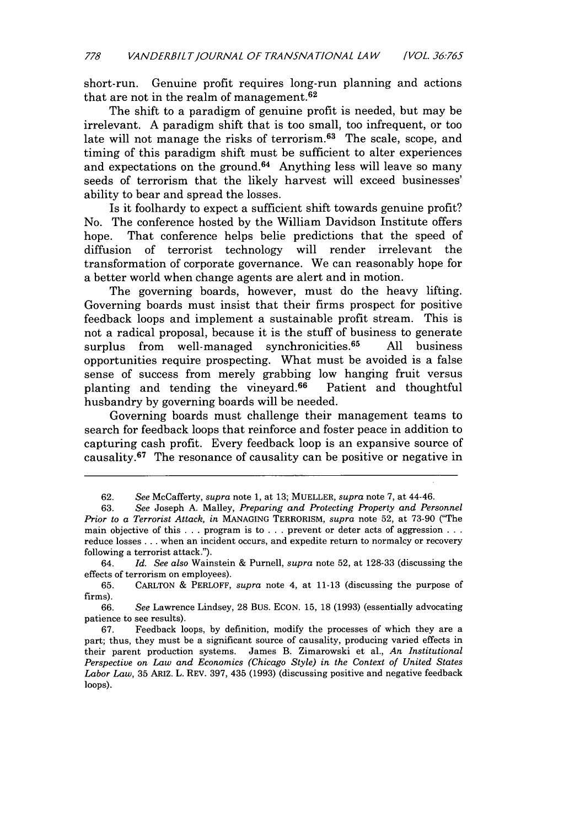short-run. Genuine profit requires long-run planning and actions that are not in the realm of management. <sup>62</sup>

The shift to a paradigm of genuine profit is needed, but may be irrelevant. A paradigm shift that is too small, too infrequent, or too late will not manage the risks of terrorism.<sup>63</sup> The scale, scope, and timing of this paradigm shift must be sufficient to alter experiences and expectations on the ground.<sup>64</sup> Anything less will leave so many seeds of terrorism that the likely harvest will exceed businesses' ability to bear and spread the losses.

Is it foolhardy to expect a sufficient shift towards genuine profit? No. The conference hosted by the William Davidson Institute offers hope. That conference helps belie predictions that the speed of diffusion of terrorist technology will render irrelevant the transformation of corporate governance. We can reasonably hope for a better world when change agents are alert and in motion.

The governing boards, however, must do the heavy lifting. Governing boards must insist that their firms prospect for positive feedback loops and implement a sustainable profit stream. This is not a radical proposal, because it is the stuff of business to generate surplus from well-managed synchronicities.<sup>65</sup> All business opportunities require prospecting. What must be avoided is a false sense of success from merely grabbing low hanging fruit versus planting and tending the vineyard. 66 Patient and thoughtful husbandry by governing boards will be needed.

Governing boards must challenge their management teams to search for feedback loops that reinforce and foster peace in addition to capturing cash profit. Every feedback loop is an expansive source of causality. 67 The resonance of causality can be positive or negative in

66. *See* Lawrence Lindsey, 28 Bus. ECON. 15, 18 (1993) (essentially advocating patience to see results).

67. Feedback loops, by definition, modify the processes of which they are a part; thus, they must be a significant source of causality, producing varied effects in their parent production systems. James B. Zimarowski et al., *An Institutional Perspective on Law and Economics (Chicago Style) in the Context of United States Labor Law,* 35 ARIZ. L. REV. **397,** 435 (1993) (discussing positive and negative feedback **loops).**

<sup>62.</sup> *See* McCafferty, *supra* note 1, at **13;** MUELLER, *supra* note 7, at 44-46.

<sup>63.</sup> *See* Joseph A. Malley, *Preparing and Protecting Property and Personnel Prior to a Terrorist Attack, in* **MANAGING** TERRORISM, *supra* note 52, at 73-90 ('The main objective of this . . . program is to .. .prevent or deter acts of aggression **...** reduce losses **...** when an incident occurs, and expedite return to normalcy or recovery following a terrorist attack.").

<sup>64.</sup> *Id. See also* Wainstein & Purnell, *supra* note 52, at **128-33** (discussing the effects of terrorism on employees).

<sup>65.</sup> CARLTON & PERLOFF, *supra* note 4, at 11-13 (discussing the purpose of firms).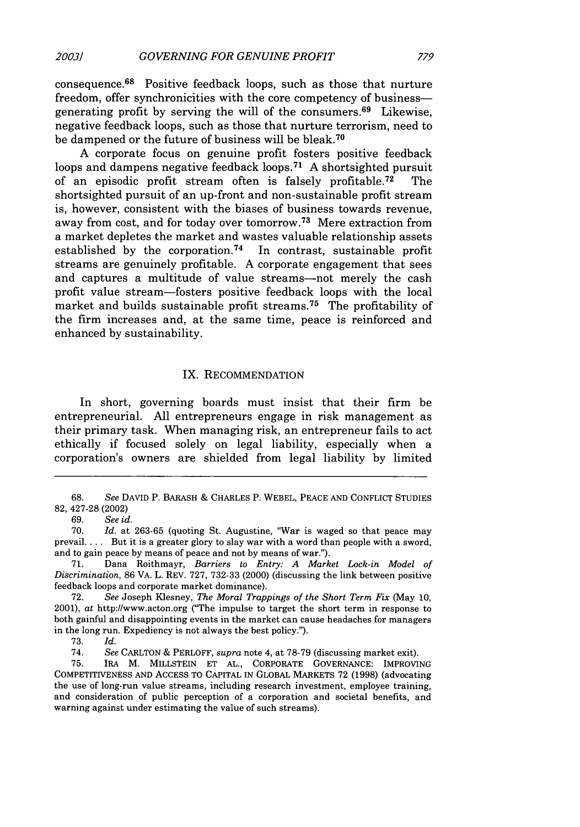A corporate focus on genuine profit fosters positive feedback loops and dampens negative feedback loops.<sup>71</sup> A shortsighted pursuit of an episodic profit stream often is falsely profitable. 72 The shortsighted pursuit of an up-front and non-sustainable profit stream is, however, consistent with the biases of business towards revenue, away from cost, and for today over tomorrow. 73 Mere extraction from a market depletes the market and wastes valuable relationship assets established by the corporation.<sup>74</sup> In contrast, sustainable profit streams are genuinely profitable. A corporate engagement that sees and captures a multitude of value streams-not merely the cash profit value stream-fosters positive feedback loops with the local market and builds sustainable profit streams.<sup>75</sup> The profitability of the firm increases and, at the same time, peace is reinforced and enhanced by sustainability.

## IX. RECOMMENDATION

In short, governing boards must insist that their firm be entrepreneurial. All entrepreneurs engage in risk management as their primary task. When managing risk, an entrepreneur fails to act ethically if focused solely on legal liability, especially when a corporation's owners are shielded from legal liability by limited

73. *Id.*

74. *See* CARLTON & PERLOFF, *supra* note 4, at 78-79 (discussing market exit).

75. IRA M. MILLSTEIN ET AL., CORPORATE GOVERNANCE: IMPROVING COMPETITIVENESS AND ACCESS TO CAPITAL IN GLOBAL MARKETS 72 (1998) (advocating the use of long-run value streams, including research investment, employee training, and consideration of public perception of a corporation and societal benefits, and warning against under estimating the value of such streams).

<sup>68.</sup> *See* DAVID P. BARASH & CHARLES P. WEBEL, PEACE AND CONFLICT STUDIES 82, 427-28 (2002)

<sup>69.</sup> *See id.*

<sup>70.</sup> *Id.* at 263-65 (quoting St. Augustine, "War is waged so that peace may prevail .... But it is a greater glory to slay war with a word than people with a sword, and to gain peace by means of peace and not by means of war.").

<sup>71.</sup> Dana Roithmayr, *Barriers to Entry: A Market* Lock-in *Model of Discrimination,* 86 VA. L. REV. 727, 732-33 (2000) (discussing the link between positive feedback loops and corporate market dominance).

<sup>72.</sup> *See* Joseph Klesney, *The Moral Trappings of the Short Term Fix* (May 10, 2001), *at* http://www.acton.org ("The impulse to target the short term in response to both gainful and disappointing events in the market can cause headaches for managers in the long run. Expediency is not always the best policy.").